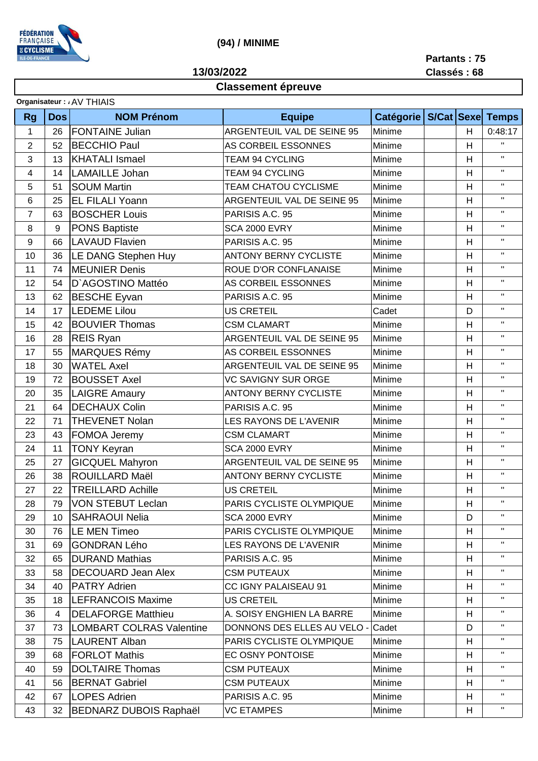

 **(94) / MINIME**

**13/03/2022**

**Partants : 75 Classés : 68**

## **Classement épreuve**

|                | Organisateur: AV THIAIS |                                 |                              |                  |            |   |                         |  |
|----------------|-------------------------|---------------------------------|------------------------------|------------------|------------|---|-------------------------|--|
| <b>Rg</b>      | <b>Dos</b>              | <b>NOM Prénom</b>               | <b>Equipe</b>                | <b>Catégorie</b> | S/Cat Sexe |   | <b>Temps</b>            |  |
| 1              | 26                      | <b>FONTAINE Julian</b>          | ARGENTEUIL VAL DE SEINE 95   | Minime           |            | H | 0:48:17                 |  |
| $\overline{2}$ | 52                      | <b>BECCHIO Paul</b>             | AS CORBEIL ESSONNES          | Minime           |            | H | $\mathbf H$             |  |
| 3              | 13                      | <b>KHATALI Ismael</b>           | <b>TEAM 94 CYCLING</b>       | Minime           |            | H | $\mathbf H$             |  |
| $\overline{4}$ | 14                      | <b>LAMAILLE Johan</b>           | <b>TEAM 94 CYCLING</b>       | Minime           |            | H | $\mathbf{H}$            |  |
| 5              | 51                      | <b>SOUM Martin</b>              | <b>TEAM CHATOU CYCLISME</b>  | Minime           |            | H | $\mathbf H$             |  |
| 6              | 25                      | EL FILALI Yoann                 | ARGENTEUIL VAL DE SEINE 95   | Minime           |            | H | $\mathbf H$             |  |
| 7              | 63                      | <b>BOSCHER Louis</b>            | PARISIS A.C. 95              | Minime           |            | H | $\mathbf{H}$            |  |
| 8              | 9                       | <b>PONS Baptiste</b>            | <b>SCA 2000 EVRY</b>         | Minime           |            | H | $\mathbf H$             |  |
| 9              | 66                      | <b>LAVAUD Flavien</b>           | PARISIS A.C. 95              | Minime           |            | H | $\pmb{\mathsf{H}}$      |  |
| 10             | 36                      | LE DANG Stephen Huy             | <b>ANTONY BERNY CYCLISTE</b> | Minime           |            | H | $\mathbf{H}$            |  |
| 11             | 74                      | <b>MEUNIER Denis</b>            | ROUE D'OR CONFLANAISE        | Minime           |            | H | $\mathbf H$             |  |
| 12             | 54                      | D'AGOSTINO Mattéo               | AS CORBEIL ESSONNES          | Minime           |            | H | $\mathbf H$             |  |
| 13             | 62                      | <b>BESCHE Eyvan</b>             | PARISIS A.C. 95              | Minime           |            | H | $\mathbf H$             |  |
| 14             | 17                      | <b>LEDEME Lilou</b>             | <b>US CRETEIL</b>            | Cadet            |            | D | $\mathbf H$             |  |
| 15             | 42                      | <b>BOUVIER Thomas</b>           | <b>CSM CLAMART</b>           | Minime           |            | H | $\mathbf H$             |  |
| 16             | 28                      | <b>REIS Ryan</b>                | ARGENTEUIL VAL DE SEINE 95   | Minime           |            | H | $\mathbf H$             |  |
| 17             | 55                      | <b>MARQUES Rémy</b>             | AS CORBEIL ESSONNES          | Minime           |            | H | $\mathbf H$             |  |
| 18             | 30                      | <b>WATEL Axel</b>               | ARGENTEUIL VAL DE SEINE 95   | Minime           |            | H | $\mathbf{H}$            |  |
| 19             | 72                      | <b>BOUSSET Axel</b>             | <b>VC SAVIGNY SUR ORGE</b>   | Minime           |            | H | $\mathbf{H}$            |  |
| 20             | 35                      | <b>LAIGRE Amaury</b>            | <b>ANTONY BERNY CYCLISTE</b> | Minime           |            | H | $\mathbf{H}$            |  |
| 21             | 64                      | <b>DECHAUX Colin</b>            | PARISIS A.C. 95              | Minime           |            | H | $\mathbf H$             |  |
| 22             | 71                      | <b>THEVENET Nolan</b>           | LES RAYONS DE L'AVENIR       | Minime           |            | H | $\mathbf H$             |  |
| 23             | 43                      | FOMOA Jeremy                    | <b>CSM CLAMART</b>           | Minime           |            | H | $\mathbf H$             |  |
| 24             | 11                      | <b>TONY Keyran</b>              | <b>SCA 2000 EVRY</b>         | Minime           |            | H | $\mathbf{H}$            |  |
| 25             | 27                      | <b>GICQUEL Mahyron</b>          | ARGENTEUIL VAL DE SEINE 95   | Minime           |            | H | $\mathbf H$             |  |
| 26             | 38                      | ROUILLARD Maël                  | <b>ANTONY BERNY CYCLISTE</b> | Minime           |            | H | $\mathbf H$             |  |
| 27             | 22                      | <b>TREILLARD Achille</b>        | <b>US CRETEIL</b>            | Minime           |            | H | $\mathbf H$             |  |
| 28             | 79                      | VON STEBUT Leclan               | PARIS CYCLISTE OLYMPIQUE     | Minime           |            | H | $\pmb{\mathsf{H}}$      |  |
| 29             | 10                      | <b>SAHRAOUI Nelia</b>           | <b>SCA 2000 EVRY</b>         | Minime           |            | D | H.                      |  |
| 30             | 76                      | <b>LE MEN Timeo</b>             | PARIS CYCLISTE OLYMPIQUE     | Minime           |            | H | $\mathbf H$             |  |
| 31             | 69                      | <b>GONDRAN Lého</b>             | LES RAYONS DE L'AVENIR       | Minime           |            | H | $\mathbf{H}$            |  |
| 32             | 65                      | <b>DURAND Mathias</b>           | PARISIS A.C. 95              | Minime           |            | H | $\mathbf H$             |  |
| 33             | 58                      | <b>DECOUARD Jean Alex</b>       | <b>CSM PUTEAUX</b>           | Minime           |            | H | $\pmb{\mathsf{H}}$      |  |
| 34             | 40                      | <b>PATRY Adrien</b>             | CC IGNY PALAISEAU 91         | Minime           |            | H | $\mathbf H$             |  |
| 35             | 18                      | <b>LEFRANCOIS Maxime</b>        | <b>US CRETEIL</b>            | Minime           |            | H | $\mathbf H$             |  |
| 36             | 4                       | <b>DELAFORGE Matthieu</b>       | A. SOISY ENGHIEN LA BARRE    | Minime           |            | H | $\mathbf H$             |  |
| 37             | 73                      | <b>LOMBART COLRAS Valentine</b> | DONNONS DES ELLES AU VELO    | Cadet            |            | D | $\mathbf{H}$            |  |
| 38             | 75                      | LAURENT Alban                   | PARIS CYCLISTE OLYMPIQUE     | Minime           |            | H | $\mathbf{H}$            |  |
| 39             | 68                      | <b>FORLOT Mathis</b>            | EC OSNY PONTOISE             | Minime           |            | H | $\mathbf{H}$            |  |
| 40             | 59                      | <b>DOLTAIRE Thomas</b>          | <b>CSM PUTEAUX</b>           | Minime           |            | H | $\mathbf H$             |  |
| 41             | 56                      | <b>BERNAT Gabriel</b>           | <b>CSM PUTEAUX</b>           | Minime           |            | H | $\mathbf H$             |  |
| 42             | 67                      | <b>LOPES Adrien</b>             | PARISIS A.C. 95              | Minime           |            | H | $\mathbf H$             |  |
| 43             | 32                      | <b>BEDNARZ DUBOIS Raphaël</b>   | <b>VC ETAMPES</b>            | Minime           |            | H | $\mathbf{H}_\mathrm{c}$ |  |